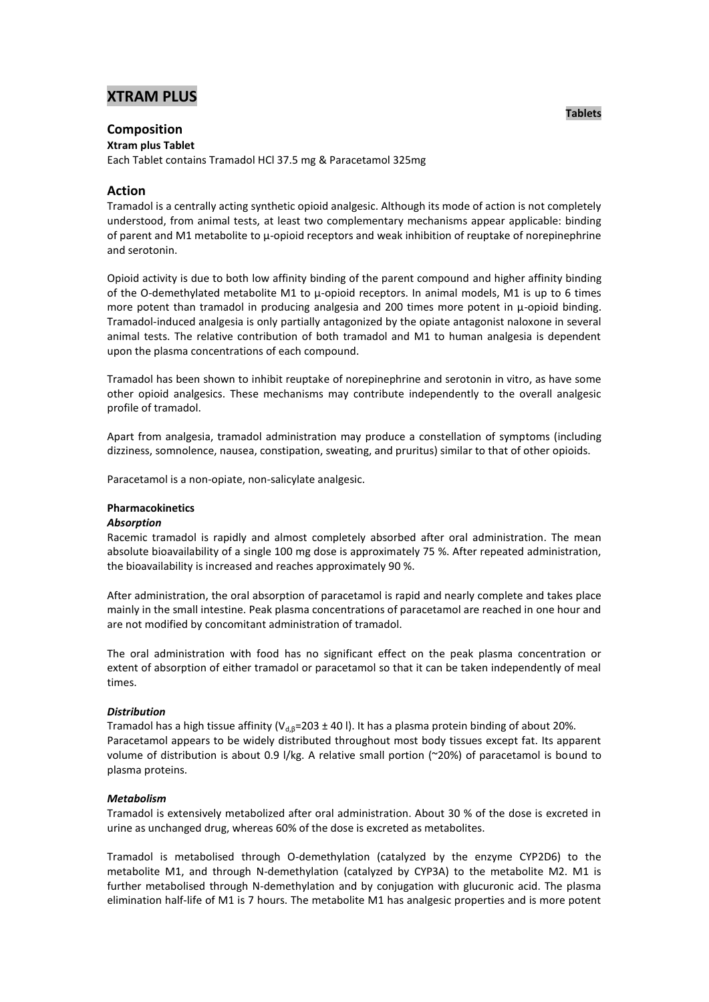# **XTRAM PLUS**

# **Composition**

**Xtram plus Tablet**

Each Tablet contains Tramadol HCl 37.5 mg & Paracetamol 325mg

## **Action**

Tramadol is a centrally acting synthetic opioid analgesic. Although its mode of action is not completely understood, from animal tests, at least two complementary mechanisms appear applicable: binding of parent and M1 metabolite to μ-opioid receptors and weak inhibition of reuptake of norepinephrine and serotonin.

Opioid activity is due to both low affinity binding of the parent compound and higher affinity binding of the O-demethylated metabolite M1 to μ-opioid receptors. In animal models, M1 is up to 6 times more potent than tramadol in producing analgesia and 200 times more potent in μ-opioid binding. Tramadol-induced analgesia is only partially antagonized by the opiate antagonist naloxone in several animal tests. The relative contribution of both tramadol and M1 to human analgesia is dependent upon the plasma concentrations of each compound.

Tramadol has been shown to inhibit reuptake of norepinephrine and serotonin in vitro, as have some other opioid analgesics. These mechanisms may contribute independently to the overall analgesic profile of tramadol.

Apart from analgesia, tramadol administration may produce a constellation of symptoms (including dizziness, somnolence, nausea, constipation, sweating, and pruritus) similar to that of other opioids.

Paracetamol is a non-opiate, non-salicylate analgesic.

## **Pharmacokinetics**

## *Absorption*

Racemic tramadol is rapidly and almost completely absorbed after oral administration. The mean absolute bioavailability of a single 100 mg dose is approximately 75 %. After repeated administration, the bioavailability is increased and reaches approximately 90 %.

After administration, the oral absorption of paracetamol is rapid and nearly complete and takes place mainly in the small intestine. Peak plasma concentrations of paracetamol are reached in one hour and are not modified by concomitant administration of tramadol.

The oral administration with food has no significant effect on the peak plasma concentration or extent of absorption of either tramadol or paracetamol so that it can be taken independently of meal times.

## *Distribution*

Tramadol has a high tissue affinity (V<sub>d, 8</sub>=203 ± 40 l). It has a plasma protein binding of about 20%. Paracetamol appears to be widely distributed throughout most body tissues except fat. Its apparent volume of distribution is about 0.9 l/kg. A relative small portion (~20%) of paracetamol is bound to plasma proteins.

## *Metabolism*

Tramadol is extensively metabolized after oral administration. About 30 % of the dose is excreted in urine as unchanged drug, whereas 60% of the dose is excreted as metabolites.

Tramadol is metabolised through O-demethylation (catalyzed by the enzyme CYP2D6) to the metabolite M1, and through N-demethylation (catalyzed by CYP3A) to the metabolite M2. M1 is further metabolised through N-demethylation and by conjugation with glucuronic acid. The plasma elimination half-life of M1 is 7 hours. The metabolite M1 has analgesic properties and is more potent

## **Tablets**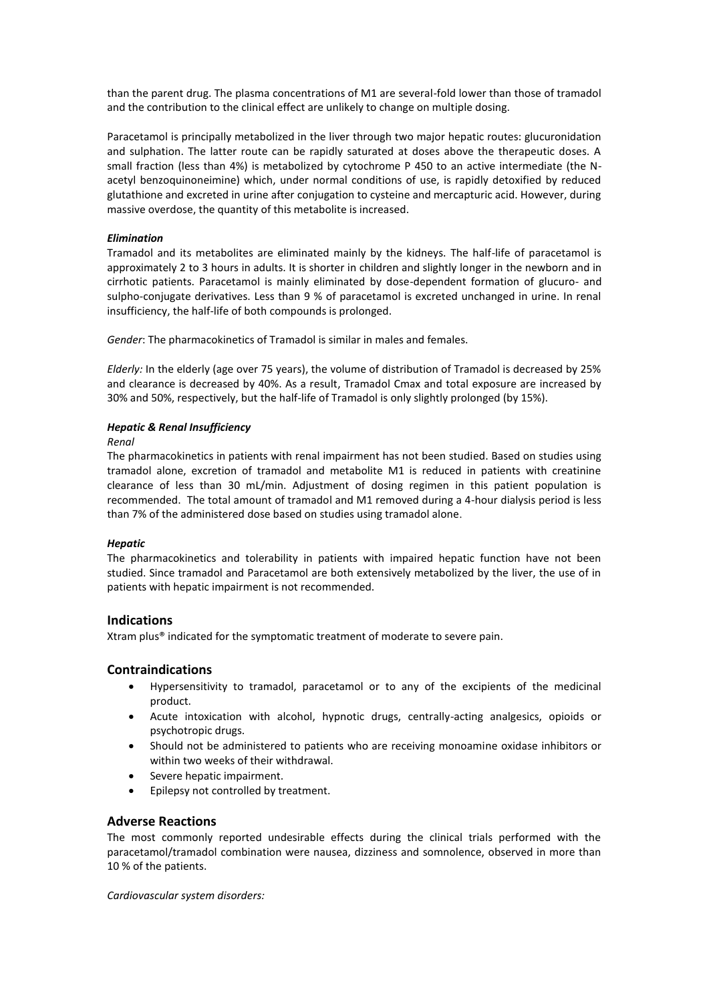than the parent drug. The plasma concentrations of M1 are several-fold lower than those of tramadol and the contribution to the clinical effect are unlikely to change on multiple dosing.

Paracetamol is principally metabolized in the liver through two major hepatic routes: glucuronidation and sulphation. The latter route can be rapidly saturated at doses above the therapeutic doses. A small fraction (less than 4%) is metabolized by cytochrome P 450 to an active intermediate (the Nacetyl benzoquinoneimine) which, under normal conditions of use, is rapidly detoxified by reduced glutathione and excreted in urine after conjugation to cysteine and mercapturic acid. However, during massive overdose, the quantity of this metabolite is increased.

## *Elimination*

Tramadol and its metabolites are eliminated mainly by the kidneys. The half-life of paracetamol is approximately 2 to 3 hours in adults. It is shorter in children and slightly longer in the newborn and in cirrhotic patients. Paracetamol is mainly eliminated by dose-dependent formation of glucuro- and sulpho-conjugate derivatives. Less than 9 % of paracetamol is excreted unchanged in urine. In renal insufficiency, the half-life of both compounds is prolonged.

*Gender*: The pharmacokinetics of Tramadol is similar in males and females.

*Elderly:* In the elderly (age over 75 years), the volume of distribution of Tramadol is decreased by 25% and clearance is decreased by 40%. As a result, Tramadol Cmax and total exposure are increased by 30% and 50%, respectively, but the half-life of Tramadol is only slightly prolonged (by 15%).

## *Hepatic & Renal Insufficiency*

*Renal*

The pharmacokinetics in patients with renal impairment has not been studied. Based on studies using tramadol alone, excretion of tramadol and metabolite M1 is reduced in patients with creatinine clearance of less than 30 mL/min. Adjustment of dosing regimen in this patient population is recommended. The total amount of tramadol and M1 removed during a 4-hour dialysis period is less than 7% of the administered dose based on studies using tramadol alone.

## *Hepatic*

The pharmacokinetics and tolerability in patients with impaired hepatic function have not been studied. Since tramadol and Paracetamol are both extensively metabolized by the liver, the use of in patients with hepatic impairment is not recommended.

## **Indications**

Xtram plus® indicated for the symptomatic treatment of moderate to severe pain.

## **Contraindications**

- Hypersensitivity to tramadol, paracetamol or to any of the excipients of the medicinal product.
- Acute intoxication with alcohol, hypnotic drugs, centrally-acting analgesics, opioids or psychotropic drugs.
- Should not be administered to patients who are receiving monoamine oxidase inhibitors or within two weeks of their withdrawal.
- Severe hepatic impairment.
- Epilepsy not controlled by treatment.

## **Adverse Reactions**

The most commonly reported undesirable effects during the clinical trials performed with the paracetamol/tramadol combination were nausea, dizziness and somnolence, observed in more than 10 % of the patients.

*Cardiovascular system disorders:*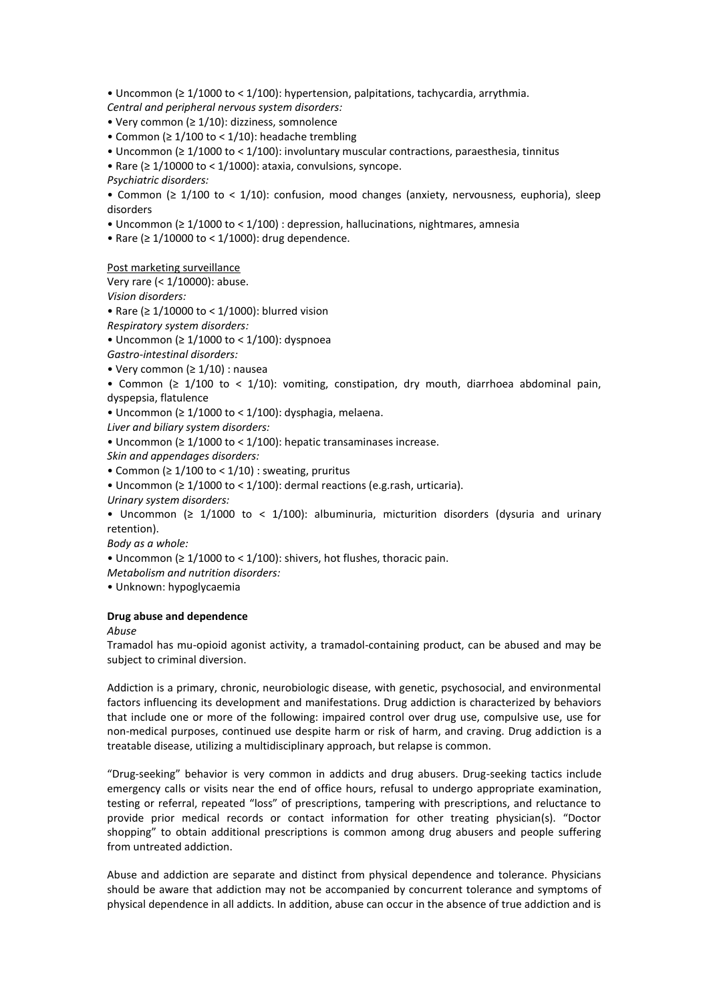• Uncommon (≥ 1/1000 to < 1/100): hypertension, palpitations, tachycardia, arrythmia.

*Central and peripheral nervous system disorders:*

- Very common (≥ 1/10): dizziness, somnolence
- Common ( $\geq 1/100$  to < 1/10): headache trembling
- Uncommon (≥ 1/1000 to < 1/100): involuntary muscular contractions, paraesthesia, tinnitus

• Rare ( $\geq 1/10000$  to < 1/1000): ataxia, convulsions, syncope.

*Psychiatric disorders:* 

• Common (≥ 1/100 to < 1/10): confusion, mood changes (anxiety, nervousness, euphoria), sleep disorders

• Uncommon (≥ 1/1000 to < 1/100) : depression, hallucinations, nightmares, amnesia

• Rare (≥ 1/10000 to < 1/1000): drug dependence.

Post marketing surveillance

Very rare (< 1/10000): abuse.

*Vision disorders:*

• Rare (≥ 1/10000 to < 1/1000): blurred vision

*Respiratory system disorders:*

• Uncommon (≥ 1/1000 to < 1/100): dyspnoea

*Gastro-intestinal disorders:* 

• Very common (≥ 1/10) : nausea

• Common ( $\geq 1/100$  to < 1/10): vomiting, constipation, dry mouth, diarrhoea abdominal pain, dyspepsia, flatulence

• Uncommon (≥ 1/1000 to < 1/100): dysphagia, melaena.

*Liver and biliary system disorders:* 

• Uncommon (≥ 1/1000 to < 1/100): hepatic transaminases increase.

*Skin and appendages disorders:*

• Common ( $\geq 1/100$  to < 1/10) : sweating, pruritus

• Uncommon (≥ 1/1000 to < 1/100): dermal reactions (e.g.rash, urticaria).

*Urinary system disorders:*

• Uncommon ( $\geq 1/1000$  to < 1/100): albuminuria, micturition disorders (dysuria and urinary retention).

*Body as a whole:* 

• Uncommon (≥ 1/1000 to < 1/100): shivers, hot flushes, thoracic pain.

*Metabolism and nutrition disorders:* 

• Unknown: hypoglycaemia

## **Drug abuse and dependence**

*Abuse*

Tramadol has mu-opioid agonist activity, a tramadol-containing product, can be abused and may be subject to criminal diversion.

Addiction is a primary, chronic, neurobiologic disease, with genetic, psychosocial, and environmental factors influencing its development and manifestations. Drug addiction is characterized by behaviors that include one or more of the following: impaired control over drug use, compulsive use, use for non-medical purposes, continued use despite harm or risk of harm, and craving. Drug addiction is a treatable disease, utilizing a multidisciplinary approach, but relapse is common.

"Drug-seeking" behavior is very common in addicts and drug abusers. Drug-seeking tactics include emergency calls or visits near the end of office hours, refusal to undergo appropriate examination, testing or referral, repeated "loss" of prescriptions, tampering with prescriptions, and reluctance to provide prior medical records or contact information for other treating physician(s). "Doctor shopping" to obtain additional prescriptions is common among drug abusers and people suffering from untreated addiction.

Abuse and addiction are separate and distinct from physical dependence and tolerance. Physicians should be aware that addiction may not be accompanied by concurrent tolerance and symptoms of physical dependence in all addicts. In addition, abuse can occur in the absence of true addiction and is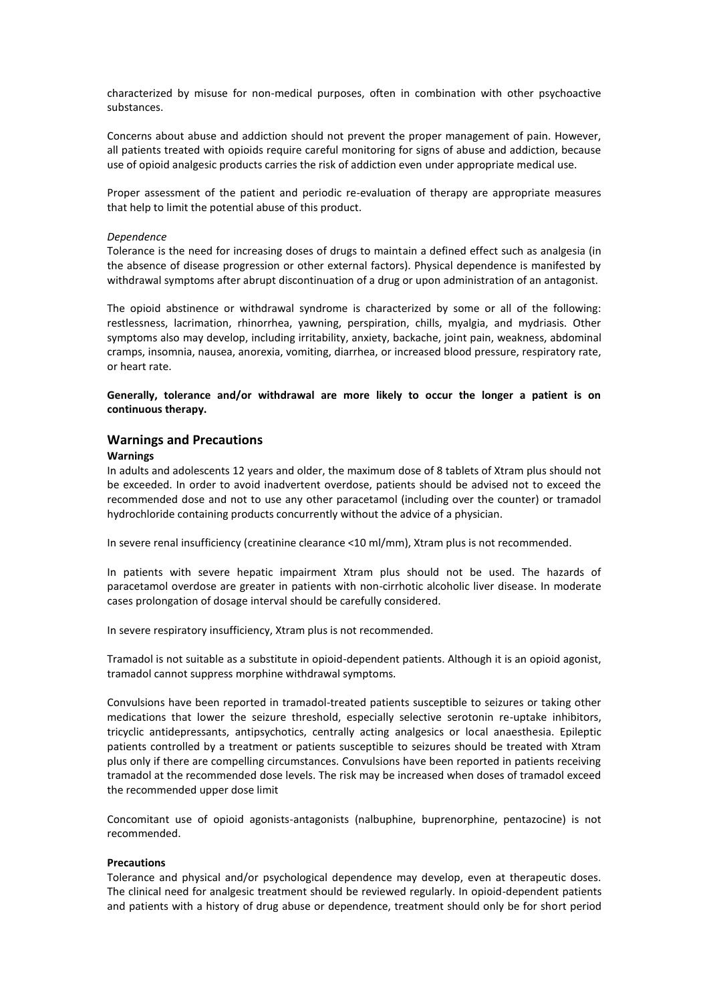characterized by misuse for non-medical purposes, often in combination with other psychoactive substances.

Concerns about abuse and addiction should not prevent the proper management of pain. However, all patients treated with opioids require careful monitoring for signs of abuse and addiction, because use of opioid analgesic products carries the risk of addiction even under appropriate medical use.

Proper assessment of the patient and periodic re-evaluation of therapy are appropriate measures that help to limit the potential abuse of this product.

#### *Dependence*

Tolerance is the need for increasing doses of drugs to maintain a defined effect such as analgesia (in the absence of disease progression or other external factors). Physical dependence is manifested by withdrawal symptoms after abrupt discontinuation of a drug or upon administration of an antagonist.

The opioid abstinence or withdrawal syndrome is characterized by some or all of the following: restlessness, lacrimation, rhinorrhea, yawning, perspiration, chills, myalgia, and mydriasis. Other symptoms also may develop, including irritability, anxiety, backache, joint pain, weakness, abdominal cramps, insomnia, nausea, anorexia, vomiting, diarrhea, or increased blood pressure, respiratory rate, or heart rate.

**Generally, tolerance and/or withdrawal are more likely to occur the longer a patient is on continuous therapy.**

## **Warnings and Precautions**

### **Warnings**

In adults and adolescents 12 years and older, the maximum dose of 8 tablets of Xtram plus should not be exceeded. In order to avoid inadvertent overdose, patients should be advised not to exceed the recommended dose and not to use any other paracetamol (including over the counter) or tramadol hydrochloride containing products concurrently without the advice of a physician.

In severe renal insufficiency (creatinine clearance <10 ml/mm), Xtram plus is not recommended.

In patients with severe hepatic impairment Xtram plus should not be used. The hazards of paracetamol overdose are greater in patients with non-cirrhotic alcoholic liver disease. In moderate cases prolongation of dosage interval should be carefully considered.

In severe respiratory insufficiency, Xtram plus is not recommended.

Tramadol is not suitable as a substitute in opioid-dependent patients. Although it is an opioid agonist, tramadol cannot suppress morphine withdrawal symptoms.

Convulsions have been reported in tramadol-treated patients susceptible to seizures or taking other medications that lower the seizure threshold, especially selective serotonin re-uptake inhibitors, tricyclic antidepressants, antipsychotics, centrally acting analgesics or local anaesthesia. Epileptic patients controlled by a treatment or patients susceptible to seizures should be treated with Xtram plus only if there are compelling circumstances. Convulsions have been reported in patients receiving tramadol at the recommended dose levels. The risk may be increased when doses of tramadol exceed the recommended upper dose limit

Concomitant use of opioid agonists-antagonists (nalbuphine, buprenorphine, pentazocine) is not recommended.

#### **Precautions**

Tolerance and physical and/or psychological dependence may develop, even at therapeutic doses. The clinical need for analgesic treatment should be reviewed regularly. In opioid-dependent patients and patients with a history of drug abuse or dependence, treatment should only be for short period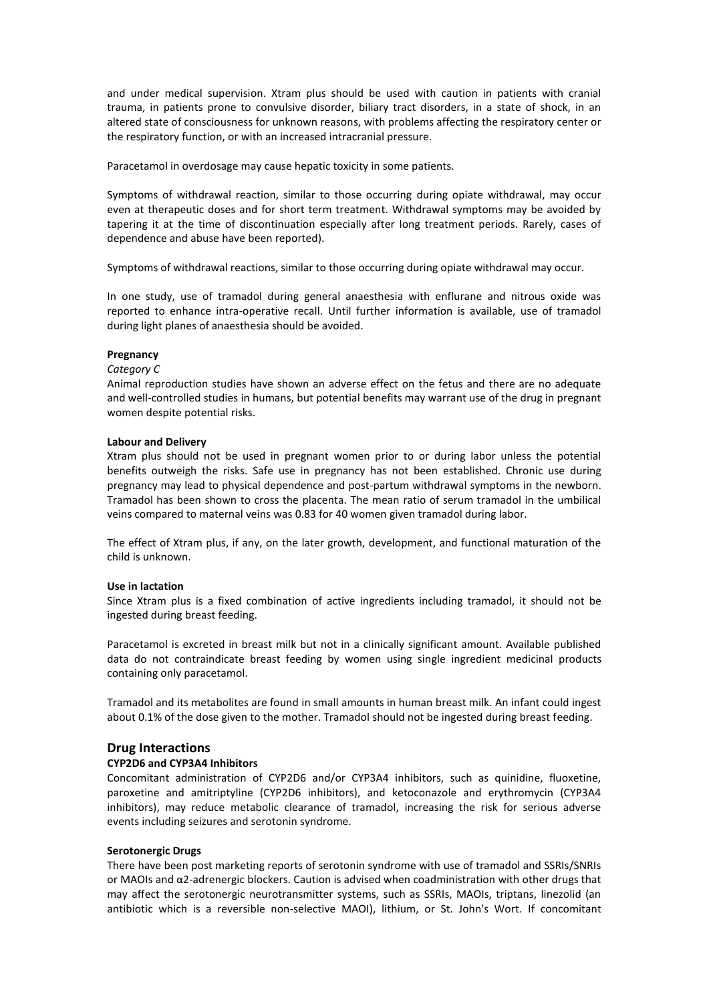and under medical supervision. Xtram plus should be used with caution in patients with cranial trauma, in patients prone to convulsive disorder, biliary tract disorders, in a state of shock, in an altered state of consciousness for unknown reasons, with problems affecting the respiratory center or the respiratory function, or with an increased intracranial pressure.

Paracetamol in overdosage may cause hepatic toxicity in some patients.

Symptoms of withdrawal reaction, similar to those occurring during opiate withdrawal, may occur even at therapeutic doses and for short term treatment. Withdrawal symptoms may be avoided by tapering it at the time of discontinuation especially after long treatment periods. Rarely, cases of dependence and abuse have been reported).

Symptoms of withdrawal reactions, similar to those occurring during opiate withdrawal may occur.

In one study, use of tramadol during general anaesthesia with enflurane and nitrous oxide was reported to enhance intra-operative recall. Until further information is available, use of tramadol during light planes of anaesthesia should be avoided.

#### **Pregnancy**

## *Category C*

Animal reproduction studies have shown an adverse effect on the fetus and there are no adequate and well-controlled studies in humans, but potential benefits may warrant use of the drug in pregnant women despite potential risks.

#### **Labour and Delivery**

Xtram plus should not be used in pregnant women prior to or during labor unless the potential benefits outweigh the risks. Safe use in pregnancy has not been established. Chronic use during pregnancy may lead to physical dependence and post-partum withdrawal symptoms in the newborn. Tramadol has been shown to cross the placenta. The mean ratio of serum tramadol in the umbilical veins compared to maternal veins was 0.83 for 40 women given tramadol during labor.

The effect of Xtram plus, if any, on the later growth, development, and functional maturation of the child is unknown.

### **Use in lactation**

Since Xtram plus is a fixed combination of active ingredients including tramadol, it should not be ingested during breast feeding.

Paracetamol is excreted in breast milk but not in a clinically significant amount. Available published data do not contraindicate breast feeding by women using single ingredient medicinal products containing only paracetamol.

Tramadol and its metabolites are found in small amounts in human breast milk. An infant could ingest about 0.1% of the dose given to the mother. Tramadol should not be ingested during breast feeding.

## **Drug Interactions**

#### **CYP2D6 and CYP3A4 Inhibitors**

Concomitant administration of CYP2D6 and/or CYP3A4 inhibitors, such as quinidine, fluoxetine, paroxetine and amitriptyline (CYP2D6 inhibitors), and ketoconazole and erythromycin (CYP3A4 inhibitors), may reduce metabolic clearance of tramadol, increasing the risk for serious adverse events including seizures and serotonin syndrome.

#### **Serotonergic Drugs**

There have been post marketing reports of serotonin syndrome with use of tramadol and SSRIs/SNRIs or MAOIs and α2-adrenergic blockers. Caution is advised when coadministration with other drugs that may affect the serotonergic neurotransmitter systems, such as SSRIs, MAOIs, triptans, linezolid (an antibiotic which is a reversible non-selective MAOI), lithium, or St. John's Wort. If concomitant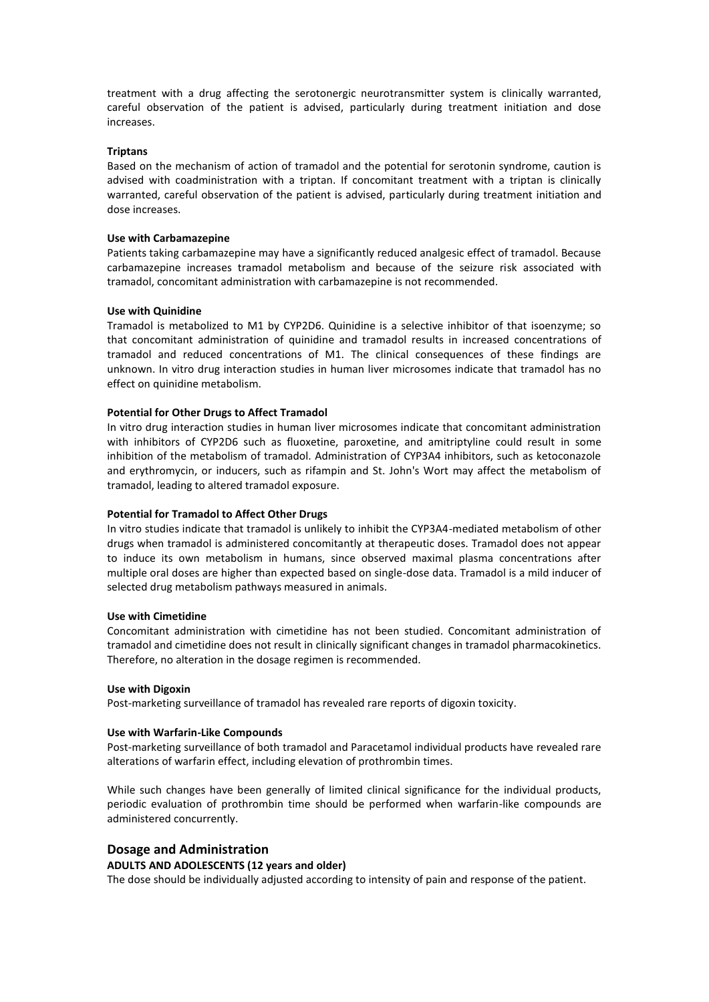treatment with a drug affecting the serotonergic neurotransmitter system is clinically warranted, careful observation of the patient is advised, particularly during treatment initiation and dose increases.

## **Triptans**

Based on the mechanism of action of tramadol and the potential for serotonin syndrome, caution is advised with coadministration with a triptan. If concomitant treatment with a triptan is clinically warranted, careful observation of the patient is advised, particularly during treatment initiation and dose increases.

## **Use with Carbamazepine**

Patients taking carbamazepine may have a significantly reduced analgesic effect of tramadol. Because carbamazepine increases tramadol metabolism and because of the seizure risk associated with tramadol, concomitant administration with carbamazepine is not recommended.

## **Use with Quinidine**

Tramadol is metabolized to M1 by CYP2D6. Quinidine is a selective inhibitor of that isoenzyme; so that concomitant administration of quinidine and tramadol results in increased concentrations of tramadol and reduced concentrations of M1. The clinical consequences of these findings are unknown. In vitro drug interaction studies in human liver microsomes indicate that tramadol has no effect on quinidine metabolism.

## **Potential for Other Drugs to Affect Tramadol**

In vitro drug interaction studies in human liver microsomes indicate that concomitant administration with inhibitors of CYP2D6 such as fluoxetine, paroxetine, and amitriptyline could result in some inhibition of the metabolism of tramadol. Administration of CYP3A4 inhibitors, such as ketoconazole and erythromycin, or inducers, such as rifampin and St. John's Wort may affect the metabolism of tramadol, leading to altered tramadol exposure.

## **Potential for Tramadol to Affect Other Drugs**

In vitro studies indicate that tramadol is unlikely to inhibit the CYP3A4-mediated metabolism of other drugs when tramadol is administered concomitantly at therapeutic doses. Tramadol does not appear to induce its own metabolism in humans, since observed maximal plasma concentrations after multiple oral doses are higher than expected based on single-dose data. Tramadol is a mild inducer of selected drug metabolism pathways measured in animals.

## **Use with Cimetidine**

Concomitant administration with cimetidine has not been studied. Concomitant administration of tramadol and cimetidine does not result in clinically significant changes in tramadol pharmacokinetics. Therefore, no alteration in the dosage regimen is recommended.

## **Use with Digoxin**

Post-marketing surveillance of tramadol has revealed rare reports of digoxin toxicity.

## **Use with Warfarin-Like Compounds**

Post-marketing surveillance of both tramadol and Paracetamol individual products have revealed rare alterations of warfarin effect, including elevation of prothrombin times.

While such changes have been generally of limited clinical significance for the individual products, periodic evaluation of prothrombin time should be performed when warfarin-like compounds are administered concurrently.

## **Dosage and Administration**

## **ADULTS AND ADOLESCENTS (12 years and older)**

The dose should be individually adjusted according to intensity of pain and response of the patient.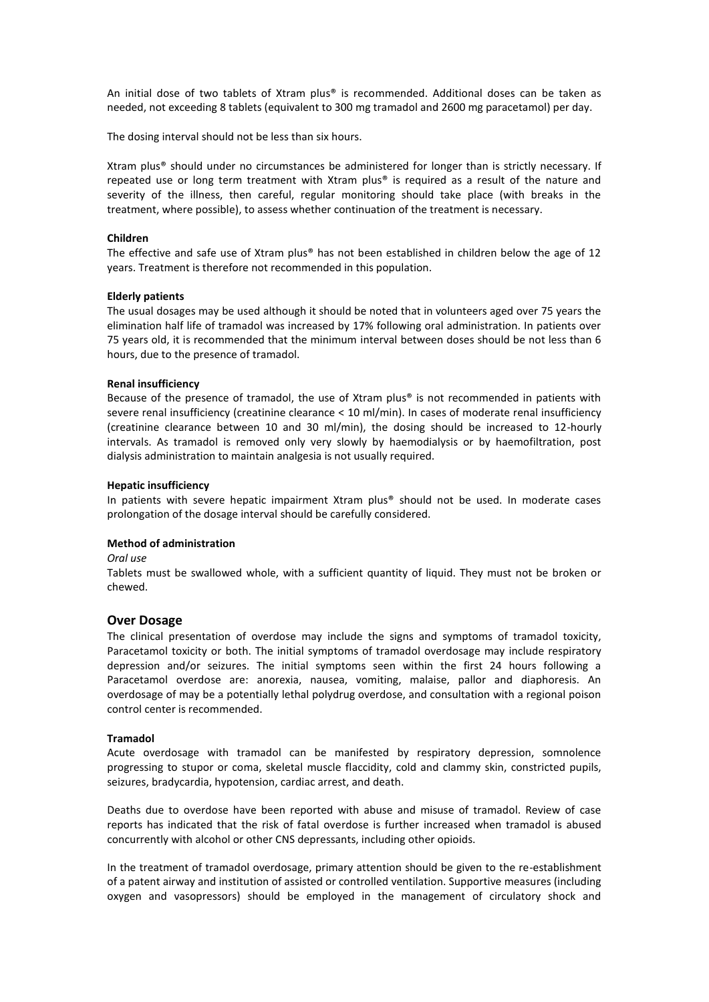An initial dose of two tablets of Xtram plus® is recommended. Additional doses can be taken as needed, not exceeding 8 tablets (equivalent to 300 mg tramadol and 2600 mg paracetamol) per day.

The dosing interval should not be less than six hours.

Xtram plus® should under no circumstances be administered for longer than is strictly necessary. If repeated use or long term treatment with Xtram plus® is required as a result of the nature and severity of the illness, then careful, regular monitoring should take place (with breaks in the treatment, where possible), to assess whether continuation of the treatment is necessary.

#### **Children**

The effective and safe use of Xtram plus® has not been established in children below the age of 12 years. Treatment is therefore not recommended in this population.

#### **Elderly patients**

The usual dosages may be used although it should be noted that in volunteers aged over 75 years the elimination half life of tramadol was increased by 17% following oral administration. In patients over 75 years old, it is recommended that the minimum interval between doses should be not less than 6 hours, due to the presence of tramadol.

### **Renal insufficiency**

Because of the presence of tramadol, the use of Xtram plus® is not recommended in patients with severe renal insufficiency (creatinine clearance < 10 ml/min). In cases of moderate renal insufficiency (creatinine clearance between 10 and 30 ml/min), the dosing should be increased to 12-hourly intervals. As tramadol is removed only very slowly by haemodialysis or by haemofiltration, post dialysis administration to maintain analgesia is not usually required.

#### **Hepatic insufficiency**

In patients with severe hepatic impairment Xtram plus® should not be used. In moderate cases prolongation of the dosage interval should be carefully considered.

## **Method of administration**

*Oral use*

Tablets must be swallowed whole, with a sufficient quantity of liquid. They must not be broken or chewed.

## **Over Dosage**

The clinical presentation of overdose may include the signs and symptoms of tramadol toxicity, Paracetamol toxicity or both. The initial symptoms of tramadol overdosage may include respiratory depression and/or seizures. The initial symptoms seen within the first 24 hours following a Paracetamol overdose are: anorexia, nausea, vomiting, malaise, pallor and diaphoresis. An overdosage of may be a potentially lethal polydrug overdose, and consultation with a regional poison control center is recommended.

#### **Tramadol**

Acute overdosage with tramadol can be manifested by respiratory depression, somnolence progressing to stupor or coma, skeletal muscle flaccidity, cold and clammy skin, constricted pupils, seizures, bradycardia, hypotension, cardiac arrest, and death.

Deaths due to overdose have been reported with abuse and misuse of tramadol. Review of case reports has indicated that the risk of fatal overdose is further increased when tramadol is abused concurrently with alcohol or other CNS depressants, including other opioids.

In the treatment of tramadol overdosage, primary attention should be given to the re-establishment of a patent airway and institution of assisted or controlled ventilation. Supportive measures (including oxygen and vasopressors) should be employed in the management of circulatory shock and